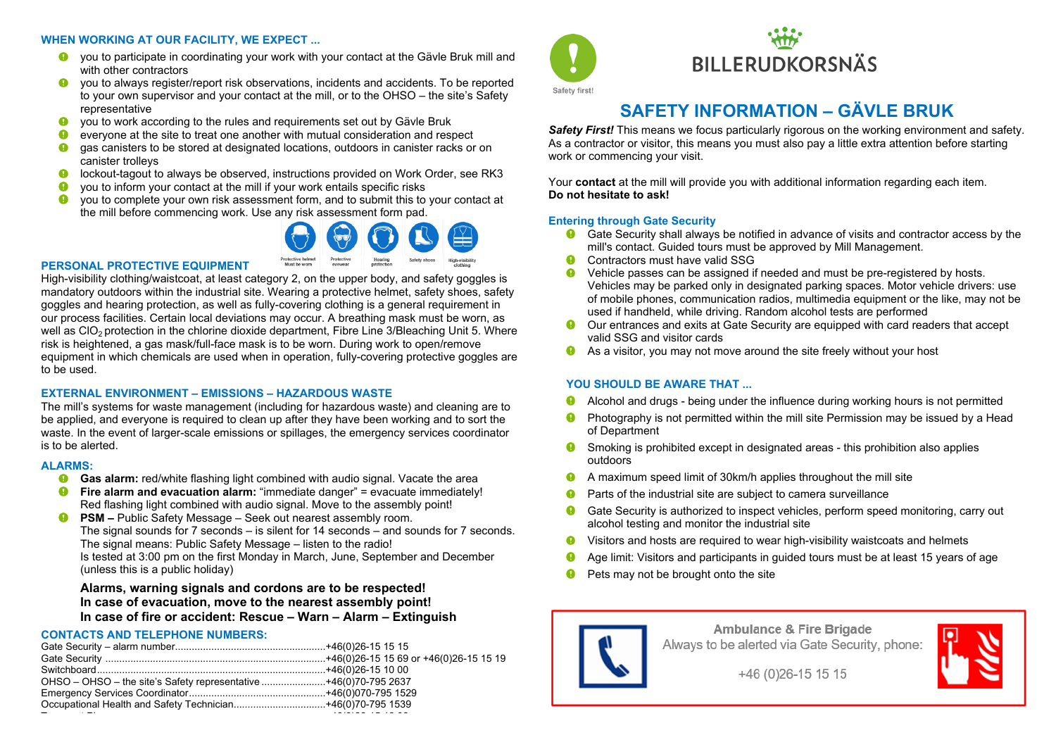#### **WHEN WORKING AT OUR FACILITY, WE EXPECT ...**

- you to participate in coordinating your work with your contact at the Gävle Bruk mill and with other contractors
- you to always register/report risk observations, incidents and accidents. To be reported to your own supervisor and your contact at the mill, or to the OHSO – the site's Safety representative
- you to work according to the rules and requirements set out by Gävle Bruk
- $\bullet$ everyone at the site to treat one another with mutual consideration and respect
- gas canisters to be stored at designated locations, outdoors in canister racks or on canister trolleys
- $\bullet$ lockout-tagout to always be observed, instructions provided on Work Order, see RK3
- you to inform your contact at the mill if your work entails specific risks
- you to complete your own risk assessment form, and to submit this to your contact at the mill before commencing work. Use any risk assessment form pad.



#### **PERSONAL PROTECTIVE EQUIPMENT**

High-visibility clothing/waistcoat, at least category 2, on the upper body, and safety goggles is mandatory outdoors within the industrial site. Wearing a protective helmet, safety shoes, safety goggles and hearing protection, as well as fully-covering clothing is a general requirement in our process facilities. Certain local deviations may occur. A breathing mask must be worn, as well as CIO<sub>2</sub> protection in the chlorine dioxide department, Fibre Line 3/Bleaching Unit 5. Where risk is heightened, a gas mask/full-face mask is to be worn. During work to open/remove equipment in which chemicals are used when in operation, fully-covering protective goggles are to be used.

#### **EXTERNAL ENVIRONMENT – EMISSIONS – HAZARDOUS WASTE**

The mill's systems for waste management (including for hazardous waste) and cleaning are to be applied, and everyone is required to clean up after they have been working and to sort the waste. In the event of larger-scale emissions or spillages, the emergency services coordinator is to be alerted.

#### **ALARMS:**

- **G** Gas alarm: red/white flashing light combined with audio signal. Vacate the area
- **C** Fire alarm and evacuation alarm: "immediate danger" = evacuate immediately! Red flashing light combined with audio signal. Move to the assembly point!
- $\bullet$ **PSM –** Public Safety Message – Seek out nearest assembly room. The signal sounds for 7 seconds – is silent for 14 seconds – and sounds for 7 seconds. The signal means: Public Safety Message – listen to the radio! Is tested at 3:00 pm on the first Monday in March, June, September and December (unless this is a public holiday)

## **Alarms, warning signals and cordons are to be respected! In case of evacuation, move to the nearest assembly point! In case of fire or accident: Rescue – Warn – Alarm – Extinguish**

#### **CONTACTS AND TELEPHONE NUMBERS:**

| OHSO - OHSO - the site's Safety representative +46(0)70-795 2637 |  |
|------------------------------------------------------------------|--|
|                                                                  |  |
|                                                                  |  |
|                                                                  |  |



# **BILLERUDKORSNÄS**

# **SAFETY INFORMATION – GÄVLE BRUK**

**Safety First!** This means we focus particularly rigorous on the working environment and safety. As a contractor or visitor, this means you must also pay a little extra attention before starting work or commencing your visit.

Your **contact** at the mill will provide you with additional information regarding each item. **Do not hesitate to ask!**

### **Entering through Gate Security**

- Gate Security shall always be notified in advance of visits and contractor access by the mill's contact. Guided tours must be approved by Mill Management.
- Ω Contractors must have valid SSG
- $\bullet$ Vehicle passes can be assigned if needed and must be pre-registered by hosts. Vehicles may be parked only in designated parking spaces. Motor vehicle drivers: use of mobile phones, communication radios, multimedia equipment or the like, may not be used if handheld, while driving. Random alcohol tests are performed
- Our entrances and exits at Gate Security are equipped with card readers that accept valid SSG and visitor cards
- **As a visitor, you may not move around the site freely without your host**

# **YOU SHOULD BE AWARE THAT ...**

- Alcohol and drugs being under the influence during working hours is not permitted 0
- Photography is not permitted within the mill site Permission may be issued by a Head  $\bullet$ of Department
- $\bullet$ Smoking is prohibited except in designated areas - this prohibition also applies outdoors
- 0 A maximum speed limit of 30km/h applies throughout the mill site
- $\mathbf 0$ Parts of the industrial site are subject to camera surveillance
- Gate Security is authorized to inspect vehicles, perform speed monitoring, carry out alcohol testing and monitor the industrial site
- Visitors and hosts are required to wear high-visibility waistcoats and helmets  $\bullet$
- ➊ Age limit: Visitors and participants in guided tours must be at least 15 years of age
- **P** Pets may not be brought onto the site



**Ambulance & Fire Brigade** Always to be alerted via Gate Security, phone:



+46 (0) 26-15 15 15